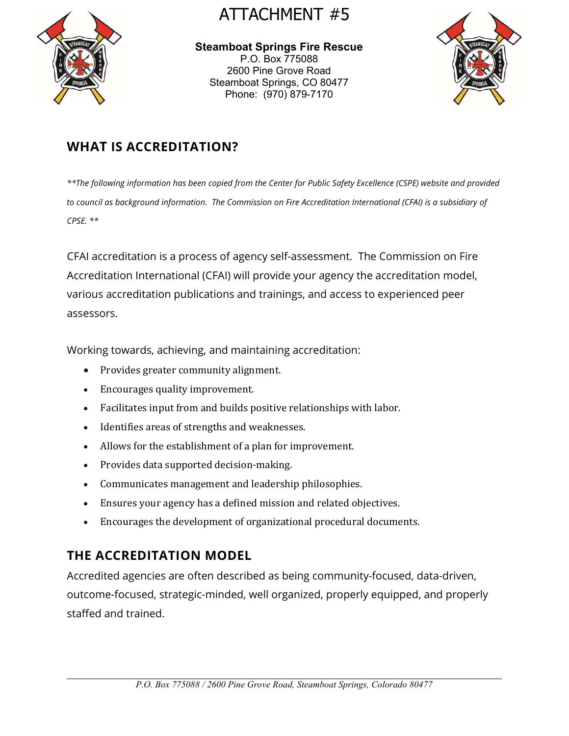

# ATTACHMENT #5

Steamboat Springs Fire Rescue P.O. Box 775088 2600 Pine Grove Road Steamboat Springs, CO 80477 Phone: (970) 879-7170



## WHAT IS ACCREDITATION?

\*\*The following information has been copied from the Center for Public Safety Excellence (CSPE) website and provided to council as background information. The Commission on Fire Accreditation International (CFAI) is a subsidiary of CPSE. \*\*

CFAI accreditation is a process of agency self-assessment. The Commission on Fire Accreditation International (CFAI) will provide your agency the accreditation model, various accreditation publications and trainings, and access to experienced peer assessors.

Working towards, achieving, and maintaining accreditation:

- Provides greater community alignment.
- Encourages quality improvement.
- Facilitates input from and builds positive relationships with labor.
- Identifies areas of strengths and weaknesses.
- Allows for the establishment of a plan for improvement.
- Provides data supported decision-making.
- Communicates management and leadership philosophies.
- Ensures your agency has a defined mission and related objectives.
- Encourages the development of organizational procedural documents.

## THE ACCREDITATION MODEL

Accredited agencies are often described as being community-focused, data-driven, outcome-focused, strategic-minded, well organized, properly equipped, and properly staffed and trained.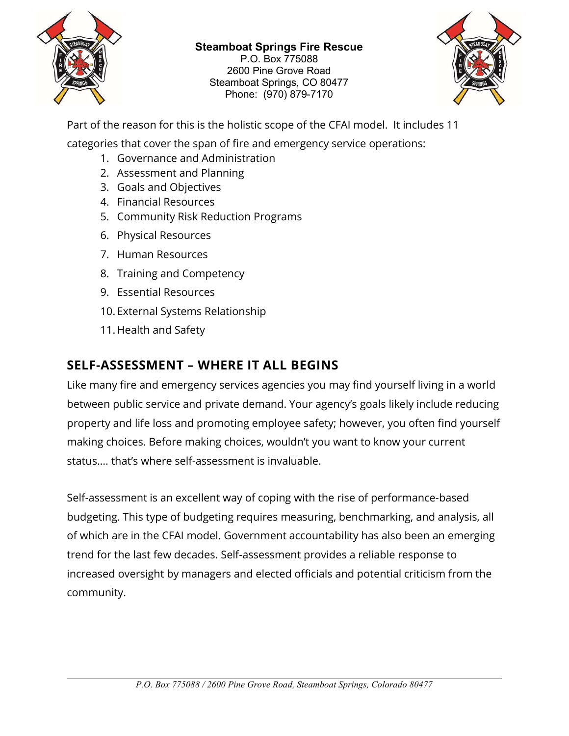

#### Steamboat Springs Fire Rescue

P.O. Box 775088 2600 Pine Grove Road Steamboat Springs, CO 80477 Phone: (970) 879-7170



Part of the reason for this is the holistic scope of the CFAI model. It includes 11

categories that cover the span of fire and emergency service operations:

- 1. Governance and Administration
- 2. Assessment and Planning
- 3. Goals and Objectives
- 4. Financial Resources
- 5. Community Risk Reduction Programs
- 6. Physical Resources
- 7. Human Resources
- 8. Training and Competency
- 9. Essential Resources
- 10. External Systems Relationship
- 11. Health and Safety

### SELF-ASSESSMENT – WHERE IT ALL BEGINS

Like many fire and emergency services agencies you may find yourself living in a world between public service and private demand. Your agency's goals likely include reducing property and life loss and promoting employee safety; however, you often find yourself making choices. Before making choices, wouldn't you want to know your current status…. that's where self-assessment is invaluable.

Self-assessment is an excellent way of coping with the rise of performance-based budgeting. This type of budgeting requires measuring, benchmarking, and analysis, all of which are in the CFAI model. Government accountability has also been an emerging trend for the last few decades. Self-assessment provides a reliable response to increased oversight by managers and elected officials and potential criticism from the community.